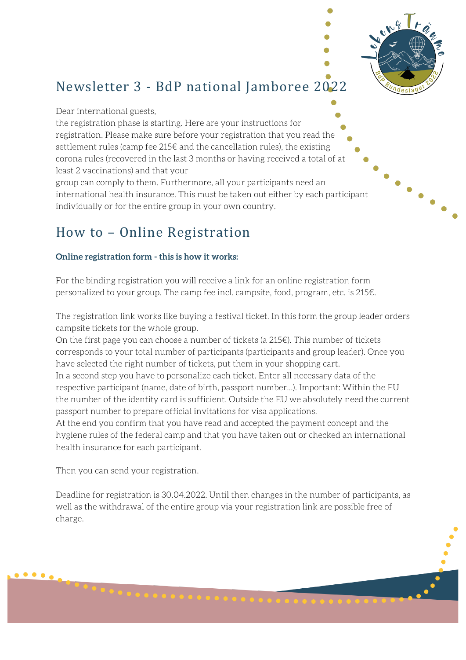

# Newsletter 3 - BdP national Jamboree 2022

Dear international guests,

the registration phase is starting. Here are your instructions for registration. Please make sure before your registration that you read the settlement rules (camp fee 215€ and the cancellation rules), the existing corona rules (recovered in the last 3 months or having received a total of at least 2 vaccinations) and that your

group can comply to them. Furthermore, all your participants need an international health insurance. This must be taken out either by each participant individually or for the entire group in your own country.

# How to - Online Registration

## **Online registration form - this is how it works:**

For the binding registration you will receive a link for an online registration form personalized to your group. The camp fee incl. campsite, food, program, etc. is 215€.

The registration link works like buying a festival ticket. In this form the group leader orders campsite tickets for the whole group.

On the first page you can choose a number of tickets (a 215€). This number of tickets corresponds to your total number of participants (participants and group leader). Once you have selected the right number of tickets, put them in your shopping cart.

In a second step you have to personalize each ticket. Enter all necessary data of the respective participant (name, date of birth, passport number...). Important: Within the EU the number of the identity card is sufficient. Outside the EU we absolutely need the current passport number to prepare official invitations for visa applications.

At the end you confirm that you have read and accepted the payment concept and the hygiene rules of the federal camp and that you have taken out or checked an international health insurance for each participant.

Then you can send your registration.

Deadline for registration is 30.04.2022. Until then changes in the number of participants, as well as the withdrawal of the entire group via your registration link are possible free of charge.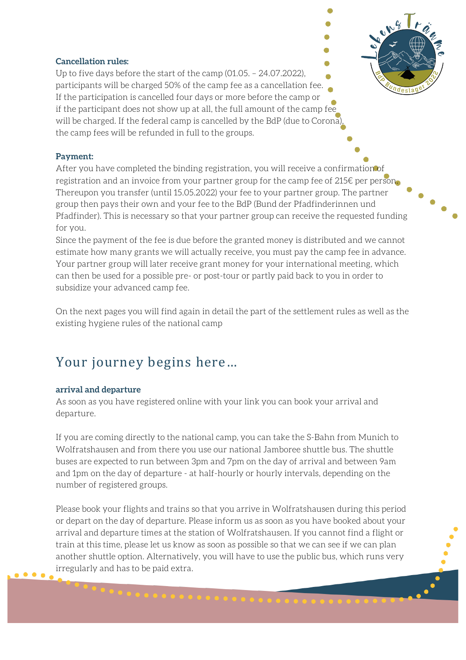#### **Cancellation rules:**

Up to five days before the start of the camp (01.05. – 24.07.2022), participants will be charged 50% of the camp fee as a cancellation fee. If the participation is cancelled four days or more before the camp or if the participant does not show up at all, the full amount of the camp fee will be charged. If the federal camp is cancelled by the BdP (due to Corona the camp fees will be refunded in full to the groups.

#### **Payment:**

After you have completed the binding registration, you will receive a confirmation of registration and an invoice from your partner group for the camp fee of 215€ per person. Thereupon you transfer (until 15.05.2022) your fee to your partner group. The partner group then pays their own and your fee to the BdP (Bund der Pfadfinderinnen und Pfadfinder). This is necessary so that your partner group can receive the requested funding for you.

Since the payment of the fee is due before the granted money is distributed and we cannot estimate how many grants we will actually receive, you must pay the camp fee in advance. Your partner group will later receive grant money for your international meeting, which can then be used for a possible pre- or post-tour or partly paid back to you in order to subsidize your advanced camp fee.

On the next pages you will find again in detail the part of the settlement rules as well as the existing hygiene rules of the national camp

## Your journey begins here...

#### **arrival and departure**

As soon as you have registered online with your link you can book your arrival and departure.

If you are coming directly to the national camp, you can take the S-Bahn from Munich to Wolfratshausen and from there you use our national Jamboree shuttle bus. The shuttle buses are expected to run between 3pm and 7pm on the day of arrival and between 9am and 1pm on the day of departure - at half-hourly or hourly intervals, depending on the number of registered groups.

Please book your flights and trains so that you arrive in Wolfratshausen during this period or depart on the day of departure. Please inform us as soon as you have booked about your arrival and departure times at the station of Wolfratshausen. If you cannot find a flight or train at this time, please let us know as soon as possible so that we can see if we can plan another shuttle option. Alternatively, you will have to use the public bus, which runs very irregularly and has to be paid extra.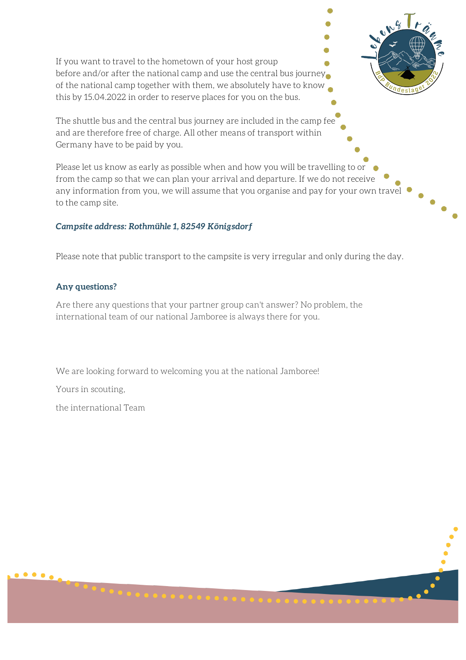If you want to travel to the hometown of your host group before and/or after the national camp and use the central bus journey of the national camp together with them, we absolutely have to know this by 15.04.2022 in order to reserve places for you on the bus.

The shuttle bus and the central bus journey are included in the camp fee and are therefore free of charge. All other means of transport within Germany have to be paid by you.

Please let us know as early as possible when and how you will be travelling to or from the camp so that we can plan your arrival and departure. If we do not receive any information from you, we will assume that you organise and pay for your own travel to the camp site.

#### *Campsite address: Rothmühle 1, 82549 Königsdorf*

Please note that public transport to the campsite is very irregular and only during the day.

#### **Any questions?**

Are there any questions that your partner group can't answer? No problem, the international team of our national Jamboree is always there for you.

We are looking forward to welcoming you at the national Jamboree!

Yours in scouting,

 $\bullet$   $\bullet$   $\bullet$ 

the international Team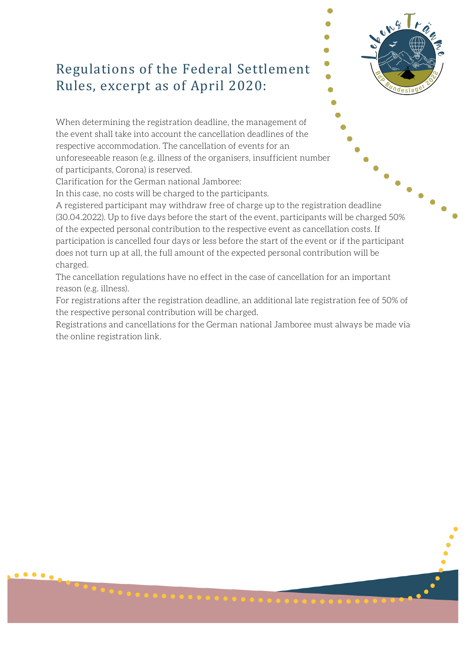# Regulations of the Federal Settlement Rules, excerpt as of April 2020:

When determining the registration deadline, the management of the event shall take into account the cancellation deadlines of the respective accommodation. The cancellation of events for an unforeseeable reason (e.g. illness of the organisers, insufficient number of participants, Corona) is reserved.

Clarification for the German national Jamboree:

In this case, no costs will be charged to the participants.

A registered participant may withdraw free of charge up to the registration deadline (30.04.2022). Up to five days before the start of the event, participants will be charged 50% of the expected personal contribution to the respective event as cancellation costs. If participation is cancelled four days or less before the start of the event or if the participant does not turn up at all, the full amount of the expected personal contribution will be charged.

The cancellation regulations have no effect in the case of cancellation for an important reason (e.g. illness).

For registrations after the registration deadline, an additional late registration fee of 50% of the respective personal contribution will be charged.

Registrations and cancellations for the German national Jamboree must always be made via the online registration link.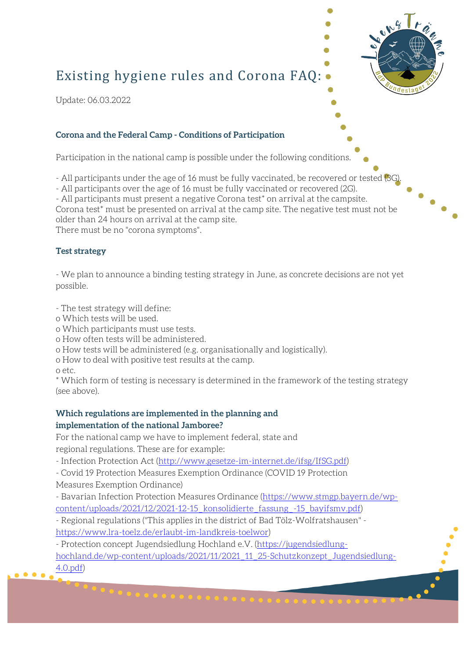# Existing hygiene rules and Corona FAQ:

Update: 06.03.2022

#### **Corona and the Federal Camp - Conditions of Participation**

Participation in the national camp is possible under the following conditions.

- All participants under the age of 16 must be fully vaccinated, be recovered or tested (3G)

- All participants over the age of 16 must be fully vaccinated or recovered (2G).

- All participants must present a negative Corona test\* on arrival at the campsite. Corona test\* must be presented on arrival at the camp site. The negative test must not be older than 24 hours on arrival at the camp site.

There must be no "corona symptoms".

#### **Test strategy**

- We plan to announce a binding testing strategy in June, as concrete decisions are not yet possible.

- The test strategy will define:

- o Which tests will be used.
- o Which participants must use tests.
- o How often tests will be administered.
- o How tests will be administered (e.g. organisationally and logistically).

o How to deal with positive test results at the camp.

o etc.

\* Which form of testing is necessary is determined in the framework of the testing strategy (see above).

#### **Which regulations are implemented in the planning and implementation of the national Jamboree?**

For the national camp we have to implement federal, state and regional regulations. These are for example:

- Infection Protection Act (http://www.gesetze-im-internet.de/ifsg/IfSG.pdf)

- Covid 19 Protection Measures Exemption Ordinance (COVID 19 Protection

Measures Exemption Ordinance)

- Bavarian Infection Protection Measures Ordinance (https://www.stmgp.bayern.de/wpcontent/uploads/2021/12/2021-12-15\_konsolidierte\_fassung\_-15\_bayifsmv.pdf)

- Regional regulations ("This applies in the district of Bad Tölz-Wolfratshausen" https://www.lra-toelz.de/erlaubt-im-landkreis-toelwor)

- Protection concept Jugendsiedlung Hochland e.V. (https://jugendsiedlunghochland.de/wp-content/uploads/2021/11/2021\_11\_25-Schutzkonzept\_Jugendsiedlung-4.0.pdf)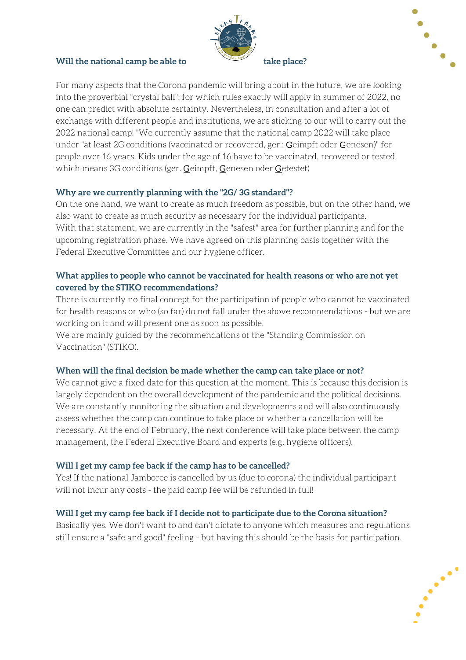#### **Will the national camp be able to take place?**





For many aspects that the Corona pandemic will bring about in the future, we are looking into the proverbial "crystal ball": for which rules exactly will apply in summer of 2022, no one can predict with absolute certainty. Nevertheless, in consultation and after a lot of exchange with different people and institutions, we are sticking to our will to carry out the 2022 national camp! "We currently assume that the national camp 2022 will take place under "at least 2G conditions (vaccinated or recovered, ger.: Geimpft oder Genesen)" for people over 16 years. Kids under the age of 16 have to be vaccinated, recovered or tested which means 3G conditions (ger. Geimpft, Genesen oder Getestet)

#### **Why are we currently planning with the "2G/ 3G standard"?**

On the one hand, we want to create as much freedom as possible, but on the other hand, we also want to create as much security as necessary for the individual participants. With that statement, we are currently in the "safest" area for further planning and for the upcoming registration phase. We have agreed on this planning basis together with the Federal Executive Committee and our hygiene officer.

#### **What applies to people who cannot be vaccinated for health reasons or who are not yet covered by the STIKO recommendations?**

There is currently no final concept for the participation of people who cannot be vaccinated for health reasons or who (so far) do not fall under the above recommendations - but we are working on it and will present one as soon as possible.

We are mainly guided by the recommendations of the "Standing Commission on Vaccination" (STIKO).

#### **When will the final decision be made whether the camp can take place or not?**

We cannot give a fixed date for this question at the moment. This is because this decision is largely dependent on the overall development of the pandemic and the political decisions. We are constantly monitoring the situation and developments and will also continuously assess whether the camp can continue to take place or whether a cancellation will be necessary. At the end of February, the next conference will take place between the camp management, the Federal Executive Board and experts (e.g. hygiene officers).

## **Will I get my camp fee back if the camp has to be cancelled?**

Yes! If the national Jamboree is cancelled by us (due to corona) the individual participant will not incur any costs - the paid camp fee will be refunded in full!

## **Will I get my camp fee back if I decide not to participate due to the Corona situation?**

Basically yes. We don't want to and can't dictate to anyone which measures and regulations still ensure a "safe and good" feeling - but having this should be the basis for participation.